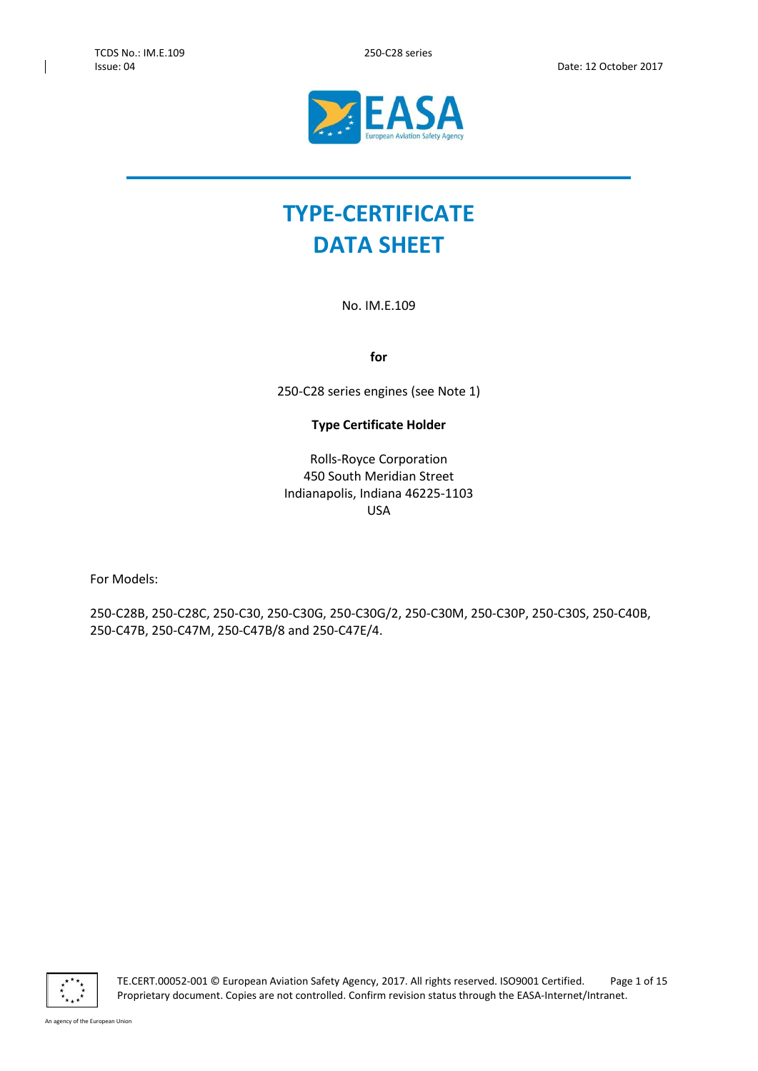

# **TYPE-CERTIFICATE DATA SHEET**

No. IM.E.109

**for**

250-C28 series engines (see Note 1)

# **Type Certificate Holder**

Rolls-Royce Corporation 450 South Meridian Street Indianapolis, Indiana 46225-1103 USA

For Models:

250-C28B, 250-C28C, 250-C30, 250-C30G, 250-C30G/2, 250-C30M, 250-C30P, 250-C30S, 250-C40B, 250-C47B, 250-C47M, 250-C47B/8 and 250-C47E/4.



TE.CERT.00052-001 © European Aviation Safety Agency, 2017. All rights reserved. ISO9001 Certified. Page 1 of 15 Proprietary document. Copies are not controlled. Confirm revision status through the EASA-Internet/Intranet.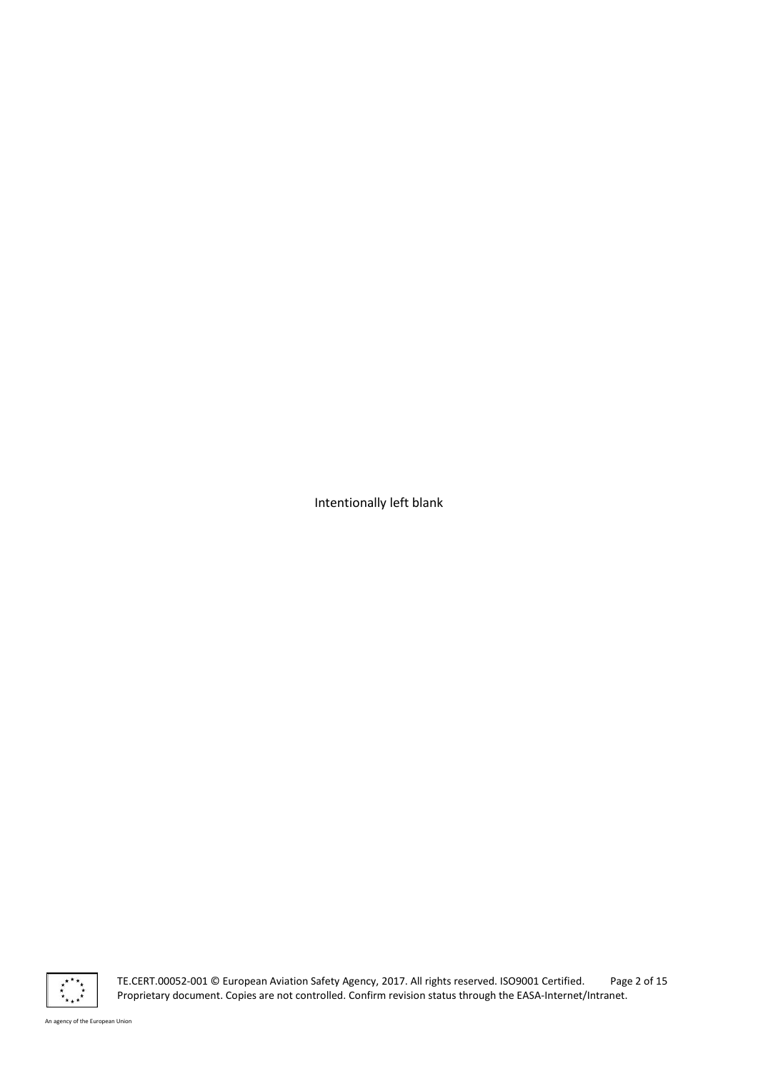Intentionally left blank



TE.CERT.00052-001 © European Aviation Safety Agency, 2017. All rights reserved. ISO9001 Certified. Page 2 of 15 Proprietary document. Copies are not controlled. Confirm revision status through the EASA-Internet/Intranet.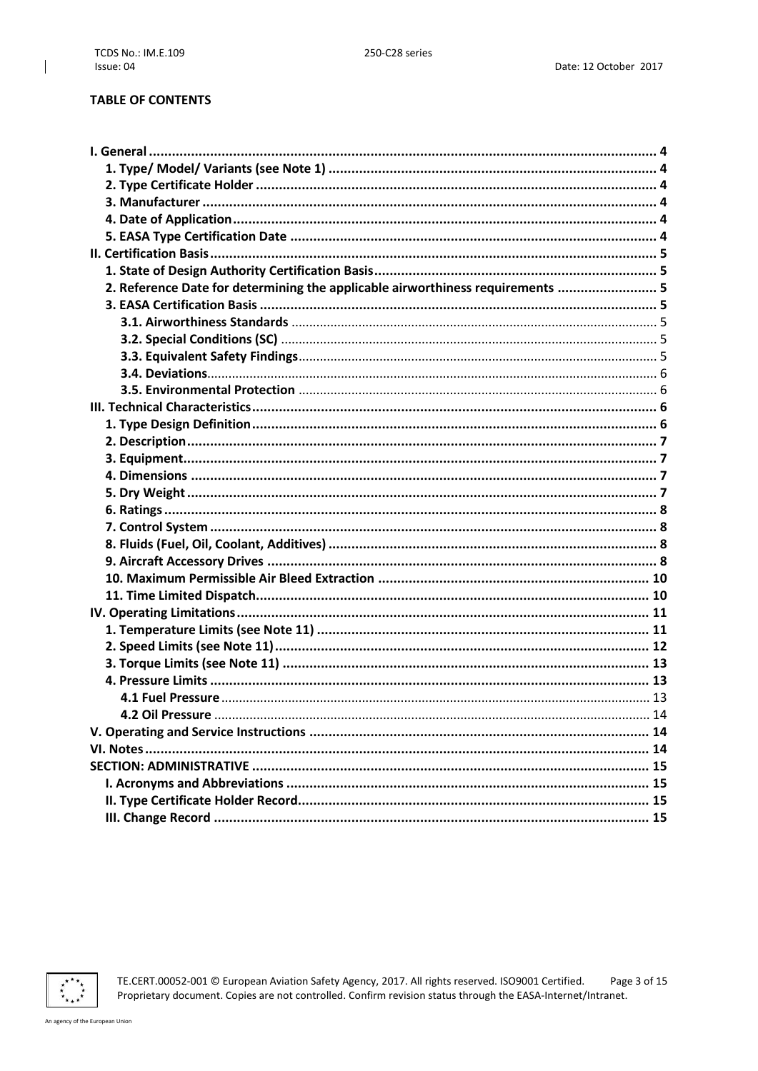# **TABLE OF CONTENTS**

| 2. Reference Date for determining the applicable airworthiness requirements  5 |  |
|--------------------------------------------------------------------------------|--|
|                                                                                |  |
|                                                                                |  |
|                                                                                |  |
|                                                                                |  |
|                                                                                |  |
|                                                                                |  |
|                                                                                |  |
|                                                                                |  |
|                                                                                |  |
|                                                                                |  |
|                                                                                |  |
|                                                                                |  |
|                                                                                |  |
|                                                                                |  |
|                                                                                |  |
|                                                                                |  |
|                                                                                |  |
|                                                                                |  |
|                                                                                |  |
|                                                                                |  |
|                                                                                |  |
|                                                                                |  |
|                                                                                |  |
|                                                                                |  |
|                                                                                |  |
|                                                                                |  |
|                                                                                |  |
|                                                                                |  |
|                                                                                |  |
|                                                                                |  |
|                                                                                |  |

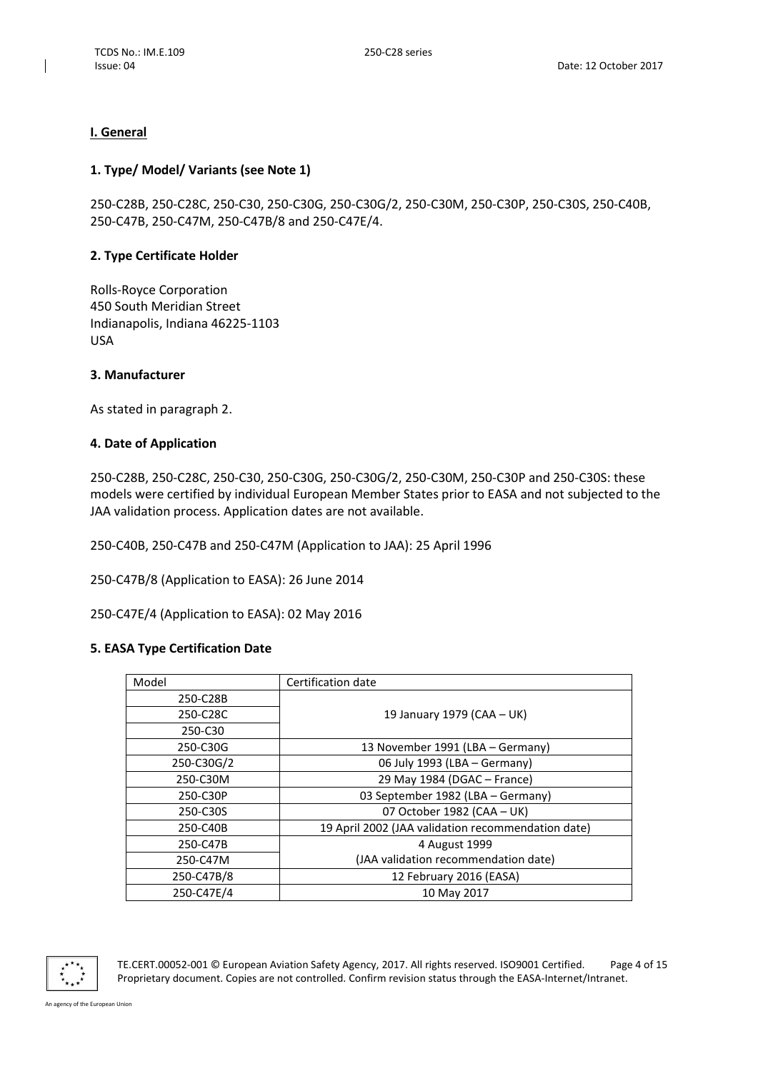# <span id="page-3-0"></span>**I. General**

## <span id="page-3-1"></span>**1. Type/ Model/ Variants (see Note 1)**

250-C28B, 250-C28C, 250-C30, 250-C30G, 250-C30G/2, 250-C30M, 250-C30P, 250-C30S, 250-C40B, 250-C47B, 250-C47M, 250-C47B/8 and 250-C47E/4.

## <span id="page-3-2"></span>**2. Type Certificate Holder**

Rolls-Royce Corporation 450 South Meridian Street Indianapolis, Indiana 46225-1103 USA

#### <span id="page-3-3"></span>**3. Manufacturer**

As stated in paragraph 2.

## <span id="page-3-4"></span>**4. Date of Application**

250-C28B, 250-C28C, 250-C30, 250-C30G, 250-C30G/2, 250-C30M, 250-C30P and 250-C30S: these models were certified by individual European Member States prior to EASA and not subjected to the JAA validation process. Application dates are not available.

250-C40B, 250-C47B and 250-C47M (Application to JAA): 25 April 1996

250-C47B/8 (Application to EASA): 26 June 2014

250-C47E/4 (Application to EASA): 02 May 2016

# <span id="page-3-5"></span>**5. EASA Type Certification Date**

| Model      | Certification date                                 |
|------------|----------------------------------------------------|
| 250-C28B   |                                                    |
| 250-C28C   | 19 January 1979 (CAA - UK)                         |
| 250-C30    |                                                    |
| 250-C30G   | 13 November 1991 (LBA - Germany)                   |
| 250-C30G/2 | 06 July 1993 (LBA - Germany)                       |
| 250-C30M   | 29 May 1984 (DGAC - France)                        |
| 250-C30P   | 03 September 1982 (LBA - Germany)                  |
| 250-C30S   | 07 October 1982 (CAA - UK)                         |
| 250-C40B   | 19 April 2002 (JAA validation recommendation date) |
| 250-C47B   | 4 August 1999                                      |
| 250-C47M   | (JAA validation recommendation date)               |
| 250-C47B/8 | 12 February 2016 (EASA)                            |
| 250-C47E/4 | 10 May 2017                                        |



TE.CERT.00052-001 © European Aviation Safety Agency, 2017. All rights reserved. ISO9001 Certified. Page 4 of 15 Proprietary document. Copies are not controlled. Confirm revision status through the EASA-Internet/Intranet.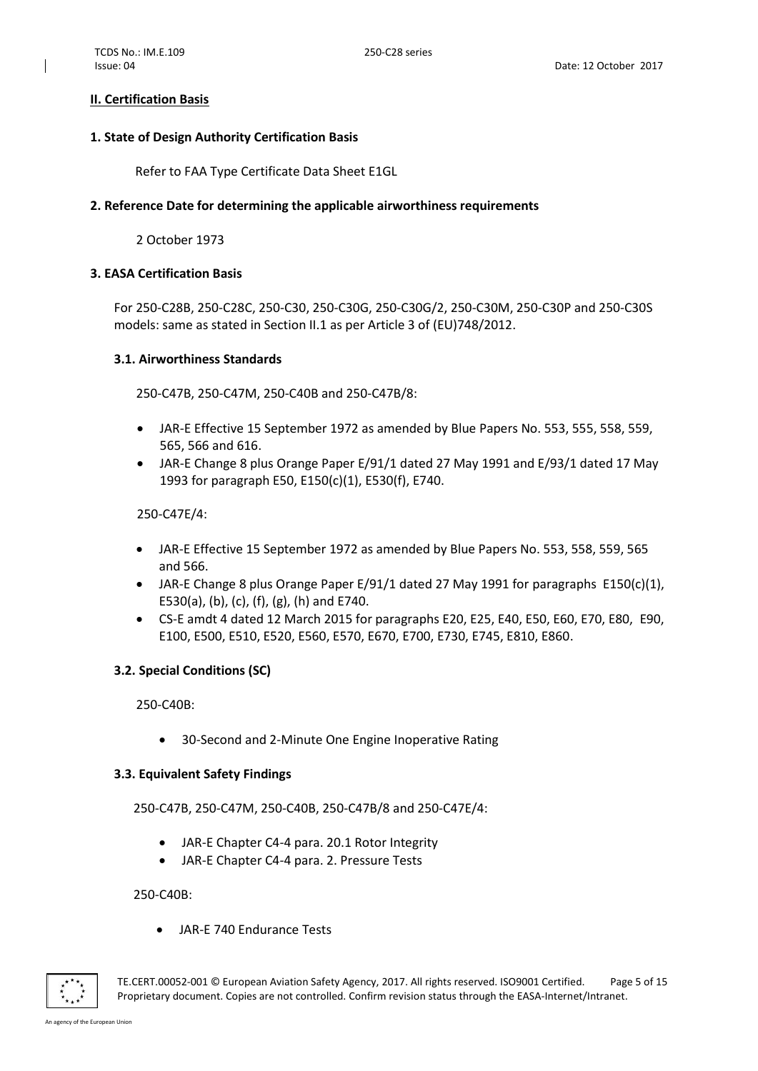## <span id="page-4-0"></span>**II. Certification Basis**

## <span id="page-4-1"></span>**1. State of Design Authority Certification Basis**

Refer to FAA Type Certificate Data Sheet E1GL

## <span id="page-4-2"></span>**2. Reference Date for determining the applicable airworthiness requirements**

2 October 1973

# <span id="page-4-3"></span>**3. EASA Certification Basis**

For 250-C28B, 250-C28C, 250-C30, 250-C30G, 250-C30G/2, 250-C30M, 250-C30P and 250-C30S models: same as stated in Section II.1 as per Article 3 of (EU)748/2012.

# <span id="page-4-4"></span>**3.1. Airworthiness Standards**

250-C47B, 250-C47M, 250-C40B and 250-C47B/8:

- JAR-E Effective 15 September 1972 as amended by Blue Papers No. 553, 555, 558, 559, 565, 566 and 616.
- JAR-E Change 8 plus Orange Paper E/91/1 dated 27 May 1991 and E/93/1 dated 17 May 1993 for paragraph E50, E150(c)(1), E530(f), E740.

# 250-C47E/4:

- JAR-E Effective 15 September 1972 as amended by Blue Papers No. 553, 558, 559, 565 and 566.
- JAR-E Change 8 plus Orange Paper E/91/1 dated 27 May 1991 for paragraphs E150(c)(1), E530(a), (b), (c), (f), (g), (h) and E740.
- CS-E amdt 4 dated 12 March 2015 for paragraphs E20, E25, E40, E50, E60, E70, E80, E90, E100, E500, E510, E520, E560, E570, E670, E700, E730, E745, E810, E860.

# <span id="page-4-5"></span>**3.2. Special Conditions (SC)**

250-C40B:

30-Second and 2-Minute One Engine Inoperative Rating

# <span id="page-4-6"></span>**3.3. Equivalent Safety Findings**

250-C47B, 250-C47M, 250-C40B, 250-C47B/8 and 250-C47E/4:

- JAR-E Chapter C4-4 para. 20.1 Rotor Integrity
- JAR-E Chapter C4-4 para. 2. Pressure Tests

#### 250-C40B:

JAR-E 740 Endurance Tests



TE.CERT.00052-001 © European Aviation Safety Agency, 2017. All rights reserved. ISO9001 Certified. Page 5 of 15 Proprietary document. Copies are not controlled. Confirm revision status through the EASA-Internet/Intranet.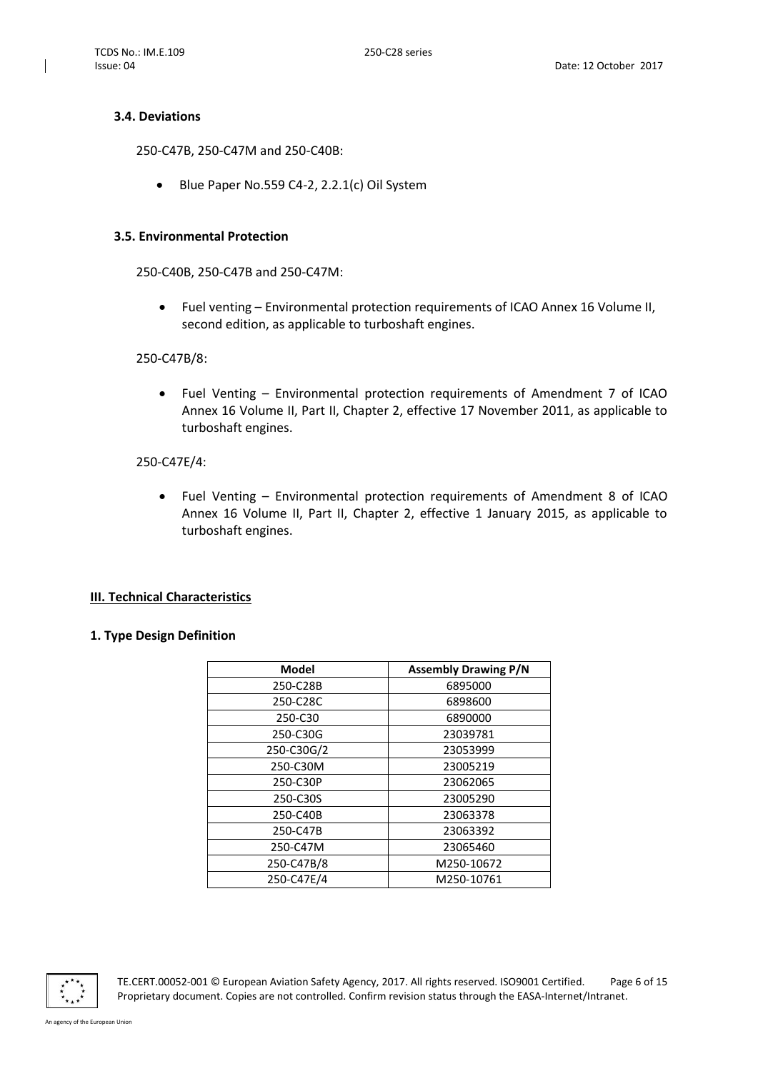## <span id="page-5-0"></span>**3.4. Deviations**

250-C47B, 250-C47M and 250-C40B:

• Blue Paper No.559 C4-2, 2.2.1(c) Oil System

## <span id="page-5-1"></span>**3.5. Environmental Protection**

250-C40B, 250-C47B and 250-C47M:

 Fuel venting – Environmental protection requirements of ICAO Annex 16 Volume II, second edition, as applicable to turboshaft engines.

250-C47B/8:

 Fuel Venting – Environmental protection requirements of Amendment 7 of ICAO Annex 16 Volume II, Part II, Chapter 2, effective 17 November 2011, as applicable to turboshaft engines.

## 250-C47E/4:

 Fuel Venting – Environmental protection requirements of Amendment 8 of ICAO Annex 16 Volume II, Part II, Chapter 2, effective 1 January 2015, as applicable to turboshaft engines.

# <span id="page-5-2"></span>**III. Technical Characteristics**

#### <span id="page-5-3"></span>**1. Type Design Definition**

| Model      | <b>Assembly Drawing P/N</b> |  |  |  |
|------------|-----------------------------|--|--|--|
| 250-C28B   | 6895000                     |  |  |  |
| 250-C28C   | 6898600                     |  |  |  |
| 250-C30    | 6890000                     |  |  |  |
| 250-C30G   | 23039781                    |  |  |  |
| 250-C30G/2 | 23053999                    |  |  |  |
| 250-C30M   | 23005219                    |  |  |  |
| 250-C30P   | 23062065                    |  |  |  |
| 250-C30S   | 23005290                    |  |  |  |
| 250-C40B   | 23063378                    |  |  |  |
| 250-C47B   | 23063392                    |  |  |  |
| 250-C47M   | 23065460                    |  |  |  |
| 250-C47B/8 | M250-10672                  |  |  |  |
| 250-C47E/4 | M250-10761                  |  |  |  |



TE.CERT.00052-001 © European Aviation Safety Agency, 2017. All rights reserved. ISO9001 Certified. Page 6 of 15 Proprietary document. Copies are not controlled. Confirm revision status through the EASA-Internet/Intranet.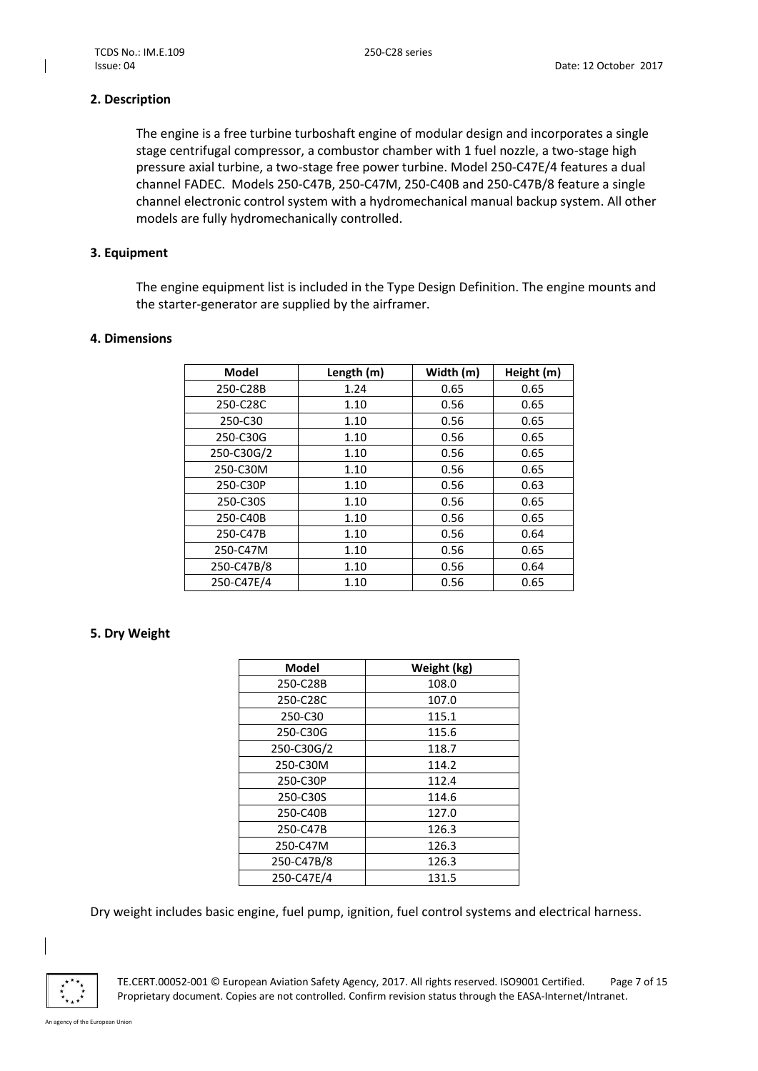# <span id="page-6-0"></span>**2. Description**

The engine is a free turbine turboshaft engine of modular design and incorporates a single stage centrifugal compressor, a combustor chamber with 1 fuel nozzle, a two-stage high pressure axial turbine, a two-stage free power turbine. Model 250-C47E/4 features a dual channel FADEC. Models 250-C47B, 250-C47M, 250-C40B and 250-C47B/8 feature a single channel electronic control system with a hydromechanical manual backup system. All other models are fully hydromechanically controlled.

# <span id="page-6-1"></span>**3. Equipment**

The engine equipment list is included in the Type Design Definition. The engine mounts and the starter-generator are supplied by the airframer.

## <span id="page-6-2"></span>**4. Dimensions**

| Model      | Length (m) | Width (m) | Height (m) |
|------------|------------|-----------|------------|
| 250-C28B   | 1.24       | 0.65      | 0.65       |
| 250-C28C   | 1.10       | 0.56      | 0.65       |
| 250-C30    | 1.10       | 0.56      | 0.65       |
| 250-C30G   | 1.10       | 0.56      | 0.65       |
| 250-C30G/2 | 1.10       | 0.56      | 0.65       |
| 250-C30M   | 1.10       | 0.56      | 0.65       |
| 250-C30P   | 1.10       | 0.56      | 0.63       |
| 250-C30S   | 1.10       | 0.56      | 0.65       |
| 250-C40B   | 1.10       | 0.56      | 0.65       |
| 250-C47B   | 1.10       | 0.56      | 0.64       |
| 250-C47M   | 1.10       | 0.56      | 0.65       |
| 250-C47B/8 | 1.10       | 0.56      | 0.64       |
| 250-C47E/4 | 1.10       | 0.56      | 0.65       |

# <span id="page-6-3"></span>**5. Dry Weight**

| <b>Model</b> | Weight (kg) |  |  |  |
|--------------|-------------|--|--|--|
| 250-C28B     | 108.0       |  |  |  |
| 250-C28C     | 107.0       |  |  |  |
| 250-C30      | 115.1       |  |  |  |
| 250-C30G     | 115.6       |  |  |  |
| 250-C30G/2   | 118.7       |  |  |  |
| 250-C30M     | 114.2       |  |  |  |
| 250-C30P     | 112.4       |  |  |  |
| 250-C30S     | 114.6       |  |  |  |
| 250-C40B     | 127.0       |  |  |  |
| 250-C47B     | 126.3       |  |  |  |
| 250-C47M     | 126.3       |  |  |  |
| 250-C47B/8   | 126.3       |  |  |  |
| 250-C47E/4   | 131.5       |  |  |  |

Dry weight includes basic engine, fuel pump, ignition, fuel control systems and electrical harness.



TE.CERT.00052-001 © European Aviation Safety Agency, 2017. All rights reserved. ISO9001 Certified. Page 7 of 15 Proprietary document. Copies are not controlled. Confirm revision status through the EASA-Internet/Intranet.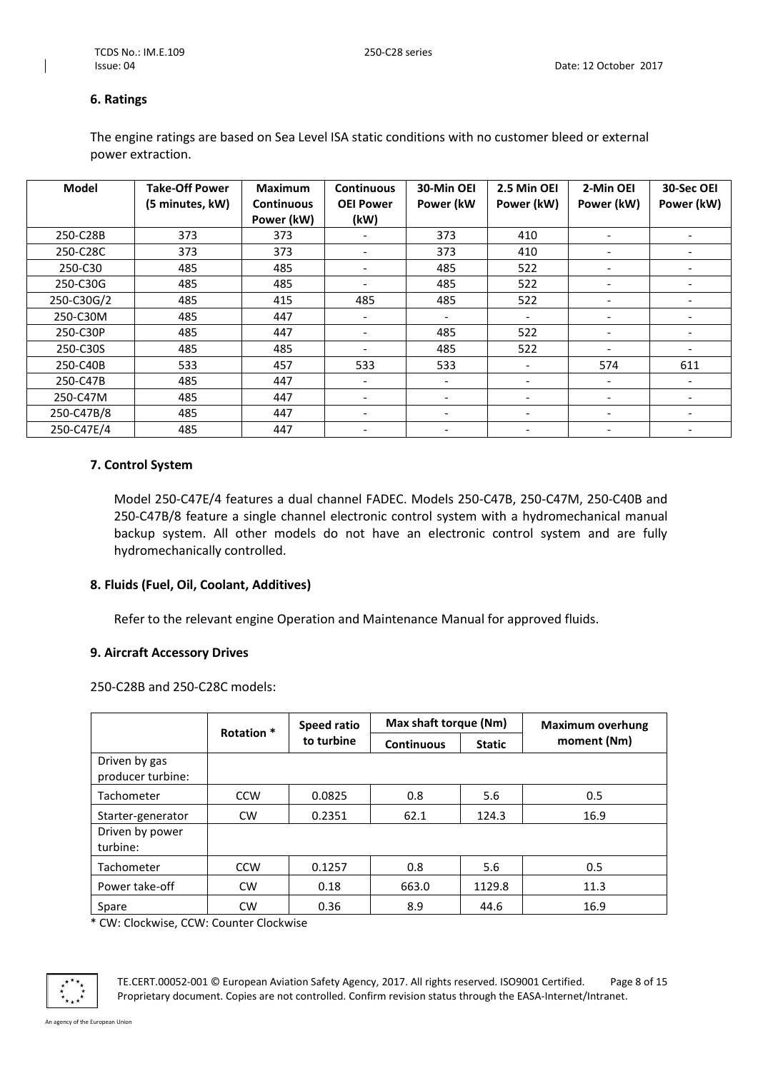# <span id="page-7-0"></span>**6. Ratings**

The engine ratings are based on Sea Level ISA static conditions with no customer bleed or external power extraction.

| Model      | <b>Take-Off Power</b><br>(5 minutes, kW) | <b>Maximum</b><br><b>Continuous</b><br>Power (kW) | <b>Continuous</b><br><b>OEI Power</b><br>(kW) | 30-Min OEI<br>Power (kW  | 2.5 Min OEI<br>Power (kW)    | 2-Min OEI<br>Power (kW)  | 30-Sec OEI<br>Power (kW)     |
|------------|------------------------------------------|---------------------------------------------------|-----------------------------------------------|--------------------------|------------------------------|--------------------------|------------------------------|
| 250-C28B   | 373                                      | 373                                               |                                               | 373                      | 410                          |                          |                              |
| 250-C28C   | 373                                      | 373                                               | $\overline{\phantom{a}}$                      | 373                      | 410                          |                          | ٠                            |
| 250-C30    | 485                                      | 485                                               | $\overline{\phantom{a}}$                      | 485                      | 522                          | $\overline{\phantom{0}}$ | ٠                            |
| 250-C30G   | 485                                      | 485                                               | $\overline{\phantom{a}}$                      | 485                      | 522                          |                          |                              |
| 250-C30G/2 | 485                                      | 415                                               | 485                                           | 485                      | 522                          | -                        | $\qquad \qquad \blacksquare$ |
| 250-C30M   | 485                                      | 447                                               | $\overline{\phantom{a}}$                      | $\overline{\phantom{a}}$ | $\overline{\phantom{0}}$     |                          | ٠                            |
| 250-C30P   | 485                                      | 447                                               | $\overline{\phantom{a}}$                      | 485                      | 522                          |                          |                              |
| 250-C30S   | 485                                      | 485                                               |                                               | 485                      | 522                          |                          |                              |
| 250-C40B   | 533                                      | 457                                               | 533                                           | 533                      | $\qquad \qquad \blacksquare$ | 574                      | 611                          |
| 250-C47B   | 485                                      | 447                                               | $\overline{\phantom{a}}$                      | $\overline{\phantom{a}}$ | $\overline{\phantom{0}}$     |                          | $\overline{\phantom{0}}$     |
| 250-C47M   | 485                                      | 447                                               | $\overline{\phantom{a}}$                      | $\overline{\phantom{a}}$ |                              | -                        | $\overline{\phantom{a}}$     |
| 250-C47B/8 | 485                                      | 447                                               | $\overline{\phantom{a}}$                      | $\overline{\phantom{a}}$ | $\qquad \qquad \blacksquare$ |                          | $\overline{\phantom{0}}$     |
| 250-C47E/4 | 485                                      | 447                                               |                                               |                          |                              |                          |                              |

# <span id="page-7-1"></span>**7. Control System**

Model 250-C47E/4 features a dual channel FADEC. Models 250-C47B, 250-C47M, 250-C40B and 250-C47B/8 feature a single channel electronic control system with a hydromechanical manual backup system. All other models do not have an electronic control system and are fully hydromechanically controlled.

# <span id="page-7-2"></span>**8. Fluids (Fuel, Oil, Coolant, Additives)**

Refer to the relevant engine Operation and Maintenance Manual for approved fluids.

# <span id="page-7-3"></span>**9. Aircraft Accessory Drives**

250-C28B and 250-C28C models:

|                                    | Rotation * | Speed ratio | Max shaft torque (Nm) |        | <b>Maximum overhung</b> |  |
|------------------------------------|------------|-------------|-----------------------|--------|-------------------------|--|
|                                    |            | to turbine  | <b>Continuous</b>     |        | moment (Nm)             |  |
| Driven by gas<br>producer turbine: |            |             |                       |        |                         |  |
| Tachometer                         | <b>CCW</b> | 0.0825      | 0.8                   | 5.6    | 0.5                     |  |
| Starter-generator                  | <b>CW</b>  | 0.2351      | 62.1                  | 124.3  | 16.9                    |  |
| Driven by power<br>turbine:        |            |             |                       |        |                         |  |
| Tachometer                         | <b>CCW</b> | 0.1257      | 0.8                   | 5.6    | 0.5                     |  |
| Power take-off                     | <b>CW</b>  | 0.18        | 663.0                 | 1129.8 | 11.3                    |  |
| Spare                              | <b>CW</b>  | 0.36        | 8.9                   | 44.6   | 16.9                    |  |

\* CW: Clockwise, CCW: Counter Clockwise

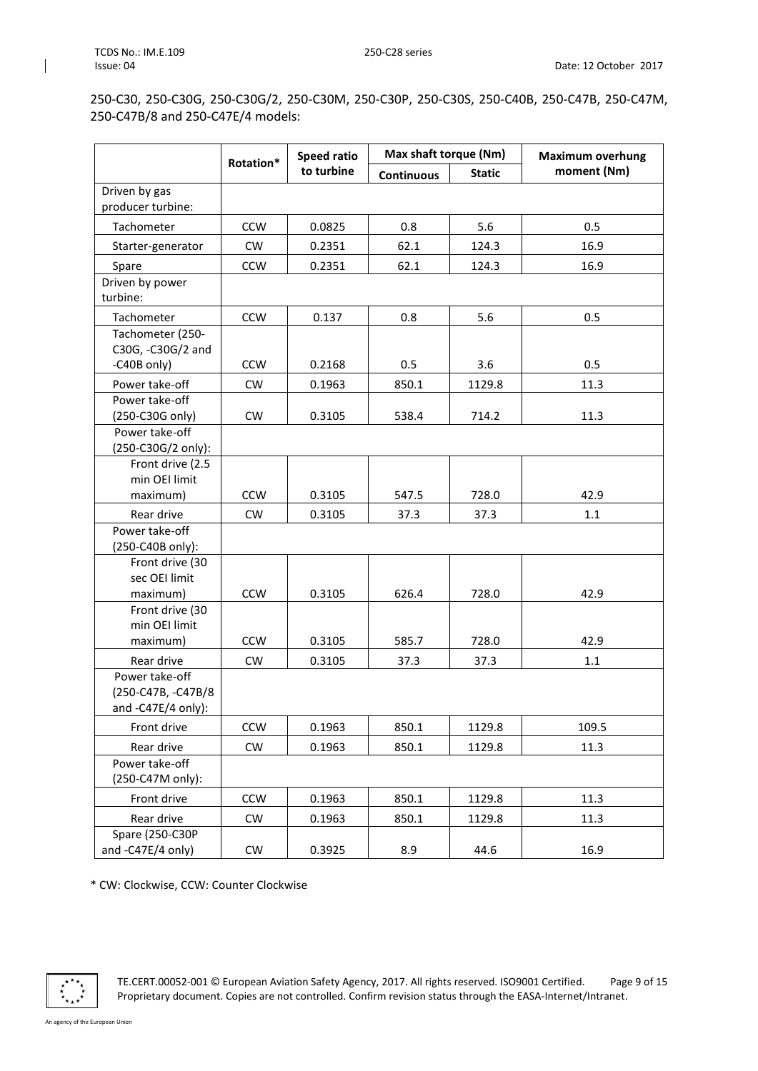250-C30, 250-C30G, 250-C30G/2, 250-C30M, 250-C30P, 250-C30S, 250-C40B, 250-C47B, 250-C47M, 250-C47B/8 and 250-C47E/4 models:

|                                                              |            | <b>Speed ratio</b> | Max shaft torque (Nm) |        | <b>Maximum overhung</b> |  |
|--------------------------------------------------------------|------------|--------------------|-----------------------|--------|-------------------------|--|
|                                                              | Rotation*  | to turbine         | <b>Continuous</b>     | Static | moment (Nm)             |  |
| Driven by gas<br>producer turbine:                           |            |                    |                       |        |                         |  |
| Tachometer                                                   | <b>CCW</b> | 0.0825             | 0.8                   | 5.6    | 0.5                     |  |
| Starter-generator                                            | <b>CW</b>  | 0.2351             | 62.1                  | 124.3  | 16.9                    |  |
| Spare                                                        | <b>CCW</b> | 0.2351             | 62.1                  | 124.3  | 16.9                    |  |
| Driven by power<br>turbine:                                  |            |                    |                       |        |                         |  |
| Tachometer                                                   | <b>CCW</b> | 0.137              | 0.8                   | 5.6    | 0.5                     |  |
| Tachometer (250-<br>C30G, -C30G/2 and<br>-C40B only)         | <b>CCW</b> | 0.2168             | 0.5                   | 3.6    | 0.5                     |  |
|                                                              |            |                    |                       |        |                         |  |
| Power take-off<br>Power take-off                             | <b>CW</b>  | 0.1963             | 850.1                 | 1129.8 | 11.3                    |  |
| (250-C30G only)                                              | <b>CW</b>  | 0.3105             | 538.4                 | 714.2  | 11.3                    |  |
| Power take-off                                               |            |                    |                       |        |                         |  |
| (250-C30G/2 only):                                           |            |                    |                       |        |                         |  |
| Front drive (2.5                                             |            |                    |                       |        |                         |  |
| min OEI limit                                                |            |                    |                       |        |                         |  |
| maximum)                                                     | <b>CCW</b> | 0.3105             | 547.5                 | 728.0  | 42.9                    |  |
| Rear drive                                                   | <b>CW</b>  | 0.3105             | 37.3                  | 37.3   | $1.1\,$                 |  |
| Power take-off<br>(250-C40B only):                           |            |                    |                       |        |                         |  |
| Front drive (30                                              |            |                    |                       |        |                         |  |
| sec OEI limit                                                |            |                    |                       |        |                         |  |
| maximum)                                                     | <b>CCW</b> | 0.3105             | 626.4                 | 728.0  | 42.9                    |  |
| Front drive (30<br>min OEI limit                             |            |                    |                       |        |                         |  |
| maximum)                                                     | <b>CCW</b> | 0.3105             | 585.7                 | 728.0  | 42.9                    |  |
| Rear drive                                                   | <b>CW</b>  | 0.3105             | 37.3                  | 37.3   | 1.1                     |  |
| Power take-off<br>(250-C47B, -C47B/8<br>and $-C47E/4$ only): |            |                    |                       |        |                         |  |
| Front drive                                                  | CCW        | 0.1963             | 850.1                 | 1129.8 | 109.5                   |  |
| Rear drive                                                   | <b>CW</b>  | 0.1963             | 850.1                 | 1129.8 | 11.3                    |  |
| Power take-off<br>(250-C47M only):                           |            |                    |                       |        |                         |  |
| Front drive                                                  | <b>CCW</b> | 0.1963             | 850.1                 | 1129.8 | 11.3                    |  |
| Rear drive                                                   | <b>CW</b>  | 0.1963             | 850.1                 | 1129.8 | 11.3                    |  |
| Spare (250-C30P<br>and -C47E/4 only)                         | CW         | 0.3925             | 8.9                   | 44.6   | 16.9                    |  |

\* CW: Clockwise, CCW: Counter Clockwise



TE.CERT.00052-001 © European Aviation Safety Agency, 2017. All rights reserved. ISO9001 Certified. Page 9 of 15 Proprietary document. Copies are not controlled. Confirm revision status through the EASA-Internet/Intranet.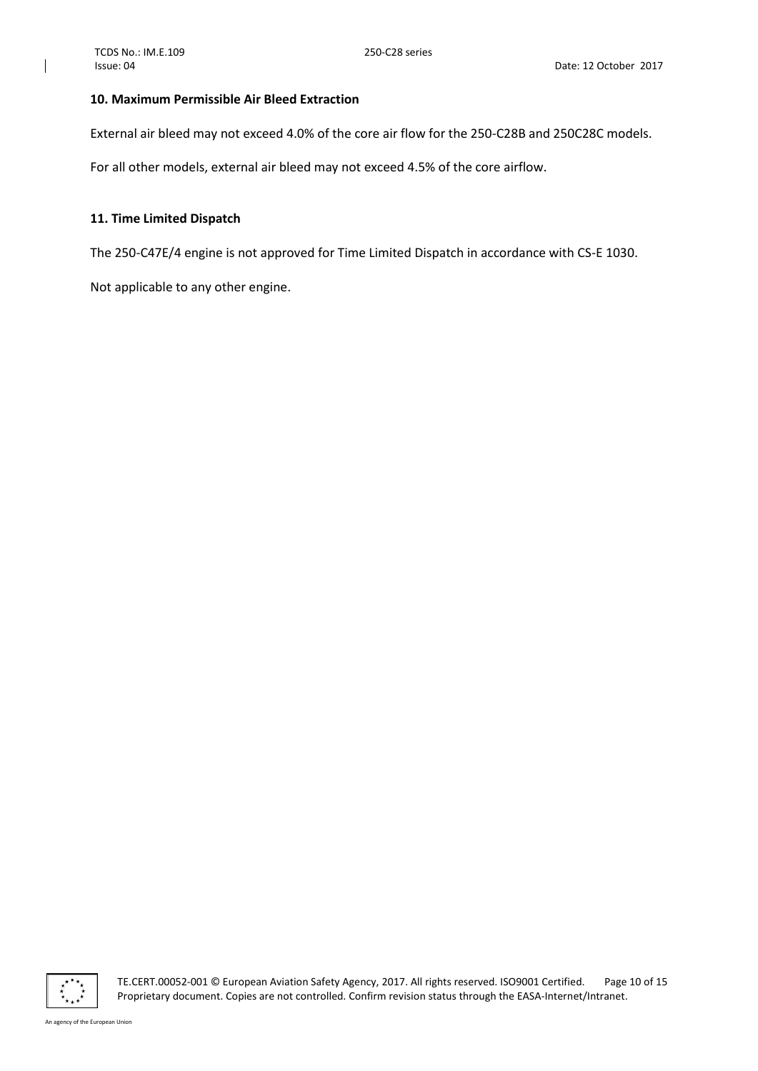#### <span id="page-9-0"></span>**10. Maximum Permissible Air Bleed Extraction**

External air bleed may not exceed 4.0% of the core air flow for the 250-C28B and 250C28C models.

For all other models, external air bleed may not exceed 4.5% of the core airflow.

## <span id="page-9-1"></span>**11. Time Limited Dispatch**

The 250-C47E/4 engine is not approved for Time Limited Dispatch in accordance with CS-E 1030.

Not applicable to any other engine.



TE.CERT.00052-001 © European Aviation Safety Agency, 2017. All rights reserved. ISO9001 Certified. Page 10 of 15 Proprietary document. Copies are not controlled. Confirm revision status through the EASA-Internet/Intranet.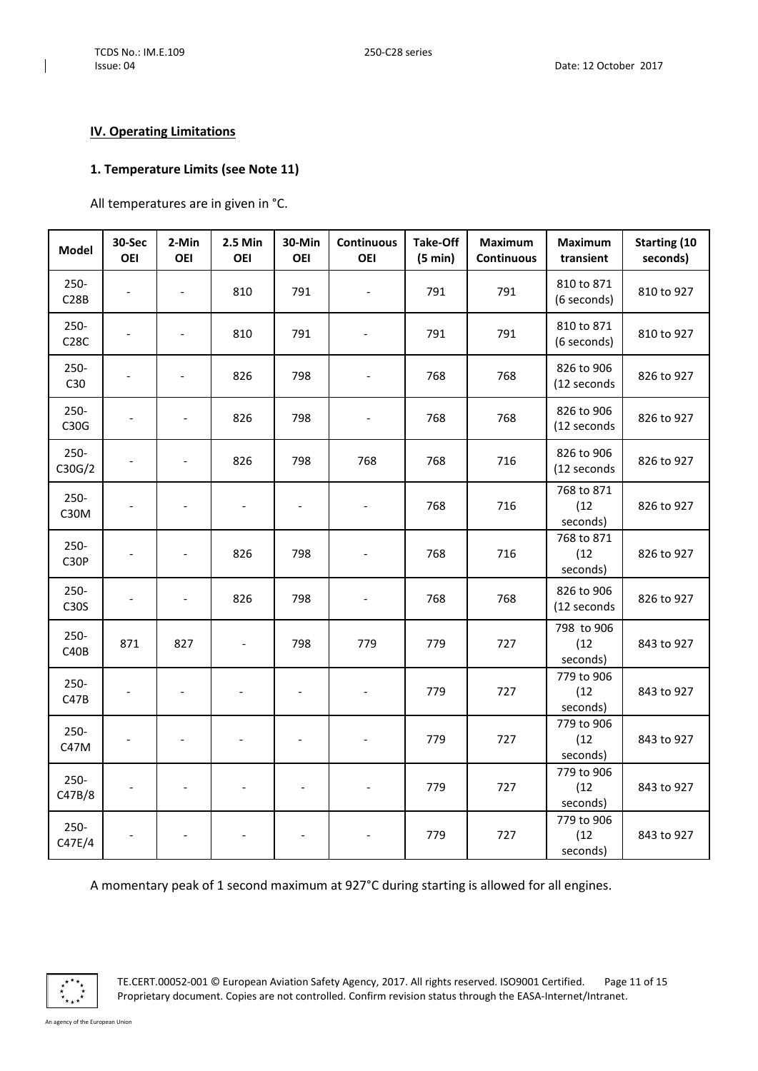# <span id="page-10-0"></span>**IV. Operating Limitations**

# <span id="page-10-1"></span>**1. Temperature Limits (see Note 11)**

All temperatures are in given in °C.

| <b>Model</b>        | 30-Sec<br><b>OEI</b> | 2-Min<br><b>OEI</b> | 2.5 Min<br><b>OEI</b>        | 30-Min<br><b>OEI</b>     | <b>Continuous</b><br><b>OEI</b> | <b>Take-Off</b><br>(5 min) | Maximum<br><b>Continuous</b> | Maximum<br>transient           | <b>Starting (10</b><br>seconds) |
|---------------------|----------------------|---------------------|------------------------------|--------------------------|---------------------------------|----------------------------|------------------------------|--------------------------------|---------------------------------|
| 250-<br>C28B        |                      | $\overline{a}$      | 810                          | 791                      | $\overline{a}$                  | 791                        | 791                          | 810 to 871<br>(6 seconds)      | 810 to 927                      |
| 250-<br>C28C        |                      | $\overline{a}$      | 810                          | 791                      |                                 | 791                        | 791                          | 810 to 871<br>(6 seconds)      | 810 to 927                      |
| $250 -$<br>C30      |                      | $\overline{a}$      | 826                          | 798                      | $\overline{\phantom{a}}$        | 768                        | 768                          | 826 to 906<br>(12 seconds      | 826 to 927                      |
| $250 -$<br>C30G     |                      |                     | 826                          | 798                      |                                 | 768                        | 768                          | 826 to 906<br>(12 seconds      | 826 to 927                      |
| $250 -$<br>C30G/2   |                      |                     | 826                          | 798                      | 768                             | 768                        | 716                          | 826 to 906<br>(12 seconds      | 826 to 927                      |
| 250-<br><b>C30M</b> |                      |                     |                              |                          |                                 | 768                        | 716                          | 768 to 871<br>(12)<br>seconds) | 826 to 927                      |
| $250 -$<br>C30P     |                      |                     | 826                          | 798                      |                                 | 768                        | 716                          | 768 to 871<br>(12)<br>seconds) | 826 to 927                      |
| 250-<br>C30S        |                      |                     | 826                          | 798                      |                                 | 768                        | 768                          | 826 to 906<br>(12 seconds      | 826 to 927                      |
| 250-<br>C40B        | 871                  | 827                 | $\overline{\phantom{m}}$     | 798                      | 779                             | 779                        | 727                          | 798 to 906<br>(12)<br>seconds) | 843 to 927                      |
| 250-<br>C47B        |                      |                     |                              |                          |                                 | 779                        | 727                          | 779 to 906<br>(12)<br>seconds) | 843 to 927                      |
| 250-<br>C47M        |                      |                     |                              |                          |                                 | 779                        | 727                          | 779 to 906<br>(12)<br>seconds) | 843 to 927                      |
| 250-<br>C47B/8      |                      |                     |                              |                          |                                 | 779                        | 727                          | 779 to 906<br>(12)<br>seconds) | 843 to 927                      |
| 250-<br>C47E/4      |                      | $\blacksquare$      | $\qquad \qquad \blacksquare$ | $\overline{\phantom{a}}$ | $\overline{\phantom{a}}$        | 779                        | 727                          | 779 to 906<br>(12)<br>seconds) | 843 to 927                      |

A momentary peak of 1 second maximum at 927°C during starting is allowed for all engines.



TE.CERT.00052-001 © European Aviation Safety Agency, 2017. All rights reserved. ISO9001 Certified. Page 11 of 15 Proprietary document. Copies are not controlled. Confirm revision status through the EASA-Internet/Intranet.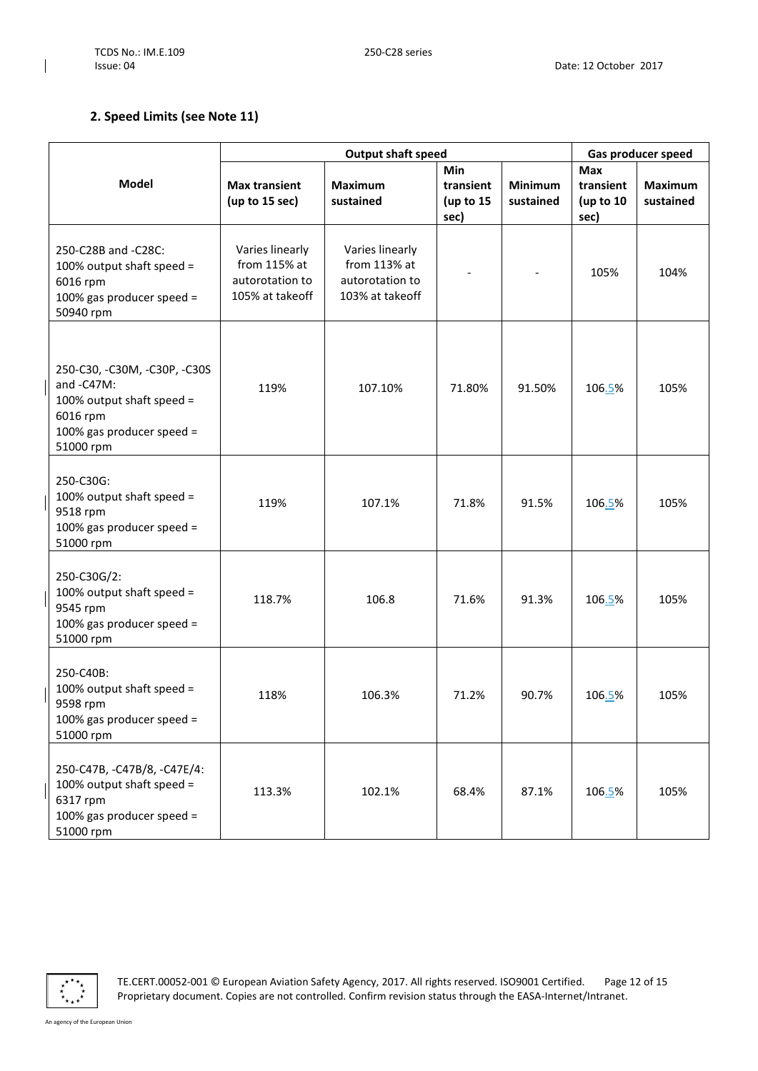$\overline{\phantom{a}}$ 

 $\overline{\phantom{a}}$ 

 $\overline{\phantom{a}}$ 

 $\overline{\phantom{a}}$ 

# <span id="page-11-0"></span>**2. Speed Limits (see Note 11)**

|                                                                                                                               |                                                                       | <b>Gas producer speed</b>                                             |                                       |                             |                                         |                             |
|-------------------------------------------------------------------------------------------------------------------------------|-----------------------------------------------------------------------|-----------------------------------------------------------------------|---------------------------------------|-----------------------------|-----------------------------------------|-----------------------------|
| <b>Model</b>                                                                                                                  | <b>Max transient</b><br>(up to 15 sec)                                | <b>Maximum</b><br>sustained                                           | Min<br>transient<br>(up to 15<br>sec) | <b>Minimum</b><br>sustained | Max<br>transient<br>(up to $10$<br>sec) | <b>Maximum</b><br>sustained |
| 250-C28B and -C28C:<br>100% output shaft speed =<br>6016 rpm<br>100% gas producer speed =<br>50940 rpm                        | Varies linearly<br>from 115% at<br>autorotation to<br>105% at takeoff | Varies linearly<br>from 113% at<br>autorotation to<br>103% at takeoff |                                       |                             | 105%                                    | 104%                        |
| 250-C30, -C30M, -C30P, -C30S<br>and -C47M:<br>100% output shaft speed =<br>6016 rpm<br>100% gas producer speed =<br>51000 rpm | 119%                                                                  | 107.10%                                                               | 71.80%                                | 91.50%                      | 106.5%                                  | 105%                        |
| 250-C30G:<br>100% output shaft speed =<br>9518 rpm<br>100% gas producer speed =<br>51000 rpm                                  | 119%                                                                  | 107.1%                                                                | 71.8%                                 | 91.5%                       | 106.5%                                  | 105%                        |
| 250-C30G/2:<br>100% output shaft speed =<br>9545 rpm<br>100% gas producer speed =<br>51000 rpm                                | 118.7%                                                                | 106.8                                                                 | 71.6%                                 | 91.3%                       | 106.5%                                  | 105%                        |
| 250-C40B:<br>100% output shaft speed =<br>9598 rpm<br>100% gas producer speed =<br>51000 rpm                                  | 118%                                                                  | 106.3%                                                                | 71.2%                                 | 90.7%                       | 106.5%                                  | 105%                        |
| 250-C47B, -C47B/8, -C47E/4:<br>100% output shaft speed =<br>6317 rpm<br>100% gas producer speed =<br>51000 rpm                | 113.3%                                                                | 102.1%                                                                | 68.4%                                 | 87.1%                       | 106.5%                                  | 105%                        |



TE.CERT.00052-001 © European Aviation Safety Agency, 2017. All rights reserved. ISO9001 Certified. Page 12 of 15 Proprietary document. Copies are not controlled. Confirm revision status through the EASA-Internet/Intranet.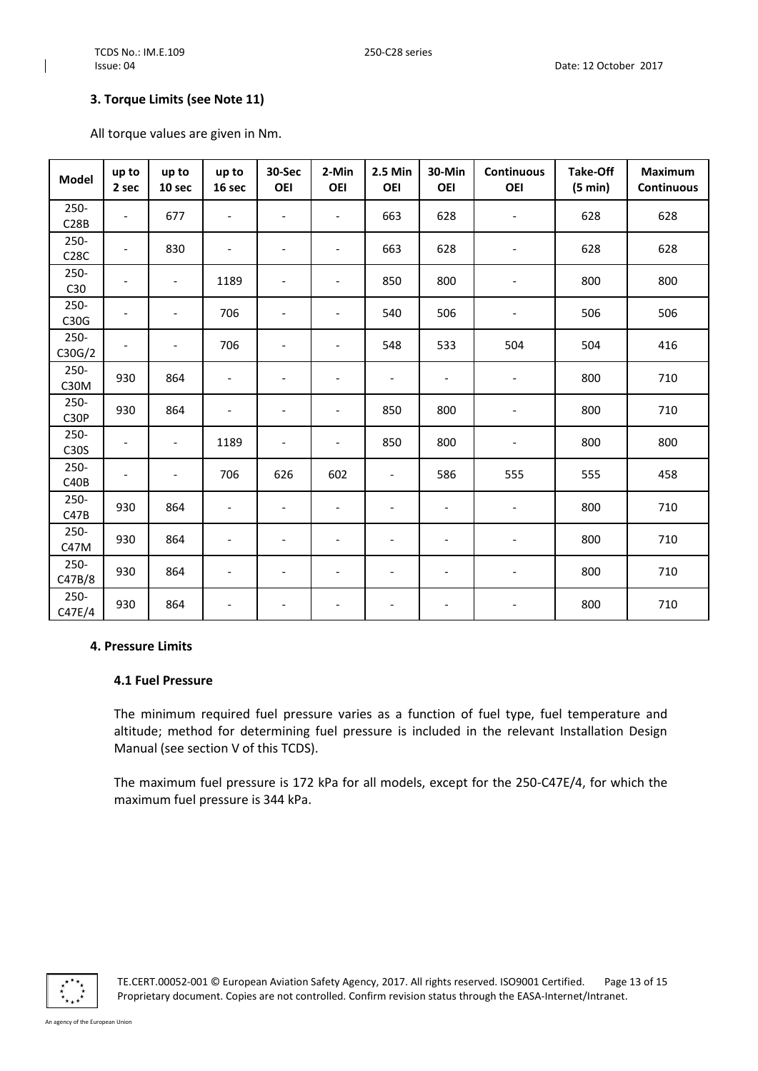# <span id="page-12-0"></span>**3. Torque Limits (see Note 11)**

All torque values are given in Nm.

| Model             | up to<br>2 sec               | up to<br>10 sec          | up to<br>16 sec          | 30-Sec<br><b>OEI</b>         | 2-Min<br><b>OEI</b>      | 2.5 Min<br><b>OEI</b>    | 30-Min<br>OEI            | <b>Continuous</b><br><b>OEI</b> | <b>Take-Off</b><br>(5 min) | <b>Maximum</b><br><b>Continuous</b> |
|-------------------|------------------------------|--------------------------|--------------------------|------------------------------|--------------------------|--------------------------|--------------------------|---------------------------------|----------------------------|-------------------------------------|
| $250 -$<br>C28B   | $\overline{\phantom{a}}$     | 677                      | $\overline{\phantom{a}}$ | $\qquad \qquad \blacksquare$ | $\overline{\phantom{a}}$ | 663                      | 628                      | $\overline{\phantom{a}}$        | 628                        | 628                                 |
| 250-<br>C28C      | $\overline{\phantom{a}}$     | 830                      | $\overline{\phantom{a}}$ | $\overline{\phantom{a}}$     | $\blacksquare$           | 663                      | 628                      | $\qquad \qquad \blacksquare$    | 628                        | 628                                 |
| $250 -$<br>C30    | $\overline{\phantom{a}}$     | $\overline{\phantom{a}}$ | 1189                     | $\qquad \qquad \blacksquare$ | $\overline{\phantom{a}}$ | 850                      | 800                      | $\qquad \qquad \blacksquare$    | 800                        | 800                                 |
| $250 -$<br>C30G   | $\overline{\phantom{a}}$     | $\overline{\phantom{a}}$ | 706                      | $\overline{a}$               | $\overline{a}$           | 540                      | 506                      | $\blacksquare$                  | 506                        | 506                                 |
| $250 -$<br>C30G/2 | $\qquad \qquad \blacksquare$ | $\overline{\phantom{a}}$ | 706                      | $\overline{\phantom{a}}$     | $\overline{\phantom{a}}$ | 548                      | 533                      | 504                             | 504                        | 416                                 |
| $250 -$<br>C30M   | 930                          | 864                      | $\overline{\phantom{a}}$ | $\qquad \qquad \blacksquare$ | $\overline{\phantom{a}}$ | $\overline{\phantom{a}}$ | $\overline{\phantom{0}}$ | $\qquad \qquad \blacksquare$    | 800                        | 710                                 |
| $250 -$<br>C30P   | 930                          | 864                      | $\overline{\phantom{a}}$ | $\blacksquare$               | $\blacksquare$           | 850                      | 800                      | $\overline{a}$                  | 800                        | 710                                 |
| $250 -$<br>C30S   | $\overline{\phantom{a}}$     | $\overline{\phantom{a}}$ | 1189                     | $\overline{\phantom{a}}$     | $\overline{\phantom{a}}$ | 850                      | 800                      | $\qquad \qquad \blacksquare$    | 800                        | 800                                 |
| $250 -$<br>C40B   | $\overline{\phantom{a}}$     | $\overline{\phantom{a}}$ | 706                      | 626                          | 602                      | $\overline{\phantom{a}}$ | 586                      | 555                             | 555                        | 458                                 |
| $250 -$<br>C47B   | 930                          | 864                      | $\overline{\phantom{a}}$ | $\qquad \qquad \blacksquare$ | $\overline{\phantom{a}}$ |                          | $\overline{\phantom{0}}$ | $\qquad \qquad \blacksquare$    | 800                        | 710                                 |
| $250 -$<br>C47M   | 930                          | 864                      | $\overline{\phantom{a}}$ | $\overline{\phantom{a}}$     | $\overline{\phantom{a}}$ | $\overline{\phantom{a}}$ | $\overline{\phantom{a}}$ | $\qquad \qquad \blacksquare$    | 800                        | 710                                 |
| $250 -$<br>C47B/8 | 930                          | 864                      | $\overline{\phantom{a}}$ | $\overline{\phantom{a}}$     | $\overline{\phantom{a}}$ | $\overline{\phantom{a}}$ | $\overline{\phantom{a}}$ | $\overline{\phantom{a}}$        | 800                        | 710                                 |
| $250 -$<br>C47E/4 | 930                          | 864                      | $\overline{\phantom{a}}$ |                              | $\overline{\phantom{a}}$ |                          | $\overline{\phantom{0}}$ | $\qquad \qquad \blacksquare$    | 800                        | 710                                 |

#### <span id="page-12-1"></span>**4. Pressure Limits**

## <span id="page-12-2"></span>**4.1 Fuel Pressure**

The minimum required fuel pressure varies as a function of fuel type, fuel temperature and altitude; method for determining fuel pressure is included in the relevant Installation Design Manual (see section V of this TCDS).

The maximum fuel pressure is 172 kPa for all models, except for the 250-C47E/4, for which the maximum fuel pressure is 344 kPa.



TE.CERT.00052-001 © European Aviation Safety Agency, 2017. All rights reserved. ISO9001 Certified. Page 13 of 15 Proprietary document. Copies are not controlled. Confirm revision status through the EASA-Internet/Intranet.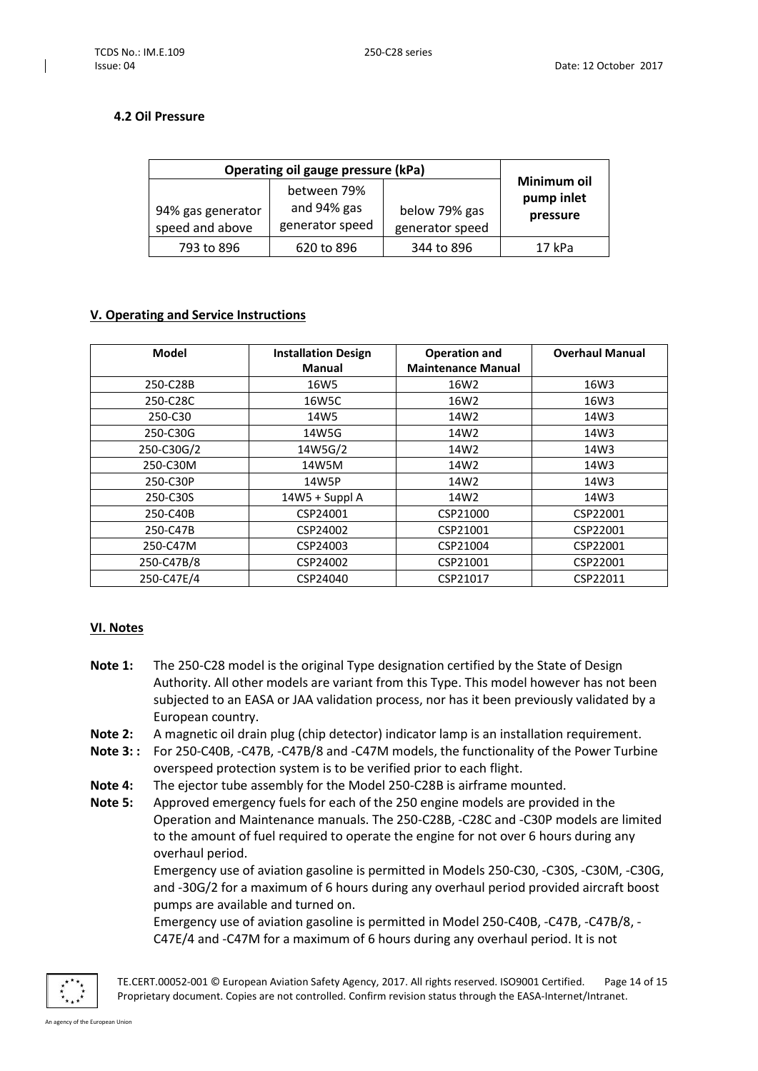# <span id="page-13-0"></span>**4.2 Oil Pressure**

| Operating oil gauge pressure (kPa)   |                                               |                                  |                                       |
|--------------------------------------|-----------------------------------------------|----------------------------------|---------------------------------------|
| 94% gas generator<br>speed and above | between 79%<br>and 94% gas<br>generator speed | below 79% gas<br>generator speed | Minimum oil<br>pump inlet<br>pressure |
| 793 to 896                           | 620 to 896                                    | 344 to 896                       | 17 kPa                                |

# <span id="page-13-1"></span>**V. Operating and Service Instructions**

| <b>Model</b> | <b>Installation Design</b> | <b>Operation and</b>      | <b>Overhaul Manual</b> |
|--------------|----------------------------|---------------------------|------------------------|
|              | <b>Manual</b>              | <b>Maintenance Manual</b> |                        |
| 250-C28B     | 16W5                       | 16W <sub>2</sub>          | 16W3                   |
| 250-C28C     | 16W5C                      | 16W <sub>2</sub>          | 16W3                   |
| 250-C30      | 14W5                       | 14W2                      | 14W3                   |
| 250-C30G     | 14W5G                      | 14W2                      | 14W3                   |
| 250-C30G/2   | 14W5G/2                    | 14W <sub>2</sub>          | 14W3                   |
| 250-C30M     | 14W5M                      | 14W <sub>2</sub>          | 14W3                   |
| 250-C30P     | 14W5P                      | 14W <sub>2</sub>          | 14W3                   |
| 250-C30S     | $14W5 + Suppl A$           | 14W2                      | 14W3                   |
| 250-C40B     | CSP24001                   | CSP21000                  | CSP22001               |
| 250-C47B     | CSP24002                   | CSP21001                  | CSP22001               |
| 250-C47M     | CSP24003                   | CSP21004                  | CSP22001               |
| 250-C47B/8   | CSP24002                   | CSP21001                  | CSP22001               |
| 250-C47E/4   | CSP24040                   | CSP21017                  | CSP22011               |

#### <span id="page-13-2"></span>**VI. Notes**

- **Note 1:** The 250-C28 model is the original Type designation certified by the State of Design Authority. All other models are variant from this Type. This model however has not been subjected to an EASA or JAA validation process, nor has it been previously validated by a European country.
- **Note 2:** A magnetic oil drain plug (chip detector) indicator lamp is an installation requirement.
- **Note 3: :** For 250-C40B, -C47B, -C47B/8 and -C47M models, the functionality of the Power Turbine overspeed protection system is to be verified prior to each flight.
- **Note 4:** The ejector tube assembly for the Model 250-C28B is airframe mounted.
- **Note 5:** Approved emergency fuels for each of the 250 engine models are provided in the Operation and Maintenance manuals. The 250-C28B, -C28C and -C30P models are limited to the amount of fuel required to operate the engine for not over 6 hours during any overhaul period.

Emergency use of aviation gasoline is permitted in Models 250-C30, -C30S, -C30M, -C30G, and -30G/2 for a maximum of 6 hours during any overhaul period provided aircraft boost pumps are available and turned on.

Emergency use of aviation gasoline is permitted in Model 250-C40B, -C47B, -C47B/8, - C47E/4 and -C47M for a maximum of 6 hours during any overhaul period. It is not



TE.CERT.00052-001 © European Aviation Safety Agency, 2017. All rights reserved. ISO9001 Certified. Page 14 of 15 Proprietary document. Copies are not controlled. Confirm revision status through the EASA-Internet/Intranet.